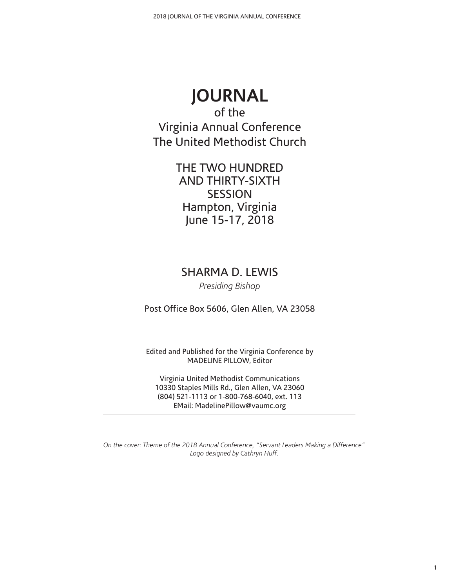# **JOURNAL**

of the Virginia Annual Conference The United Methodist Church

> THE TWO HUNDRED AND THIRTY-SIXTH SESSION Hampton, Virginia June 15-17, 2018

SHARMA D. LEWIS

*Presiding Bishop*

Post Office Box 5606, Glen Allen, VA 23058

Edited and Published for the Virginia Conference by MADELINE PILLOW, Editor

Virginia United Methodist Communications 10330 Staples Mills Rd., Glen Allen, VA 23060 (804) 521-1113 or 1-800-768-6040, ext. 113 EMail: MadelinePillow@vaumc.org

*On the cover: Theme of the 2018 Annual Conference, "Servant Leaders Making a Difference" Logo designed by Cathryn Huff.*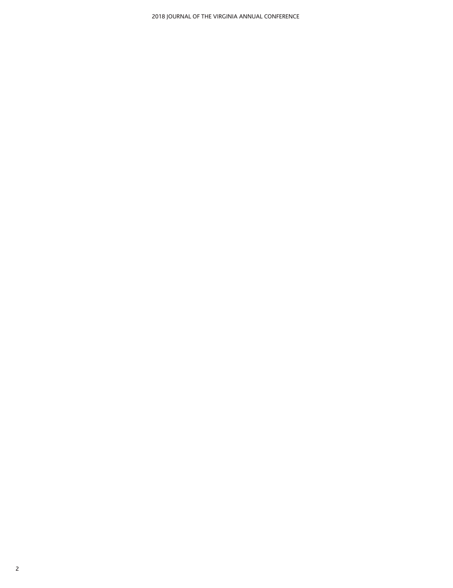2018 JOURNAL OF THE VIRGINIA ANNUAL CONFERENCE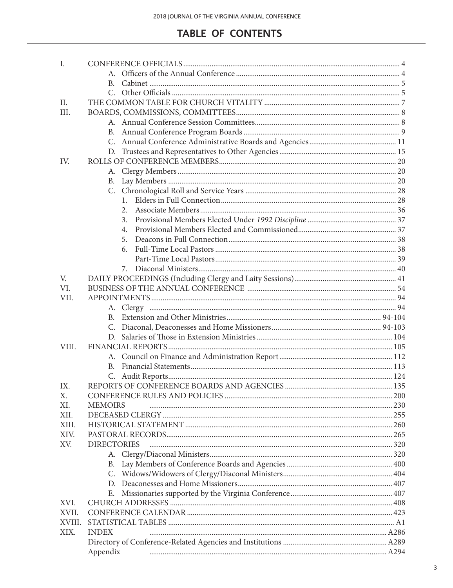## **TABLE OF CONTENTS**

| B.                        |  |
|---------------------------|--|
|                           |  |
|                           |  |
|                           |  |
| II.                       |  |
| III.                      |  |
|                           |  |
|                           |  |
|                           |  |
|                           |  |
| IV.                       |  |
|                           |  |
| В.                        |  |
|                           |  |
| $1_{-}$                   |  |
|                           |  |
| 2.                        |  |
| 3.                        |  |
| 4.                        |  |
| 5.                        |  |
| 6.                        |  |
|                           |  |
| 7.                        |  |
| V.                        |  |
| VI.                       |  |
| VII.                      |  |
|                           |  |
| B.                        |  |
|                           |  |
|                           |  |
| VIII.                     |  |
|                           |  |
| B.                        |  |
|                           |  |
| IX.                       |  |
| Χ.                        |  |
| XI.<br><b>MEMOIRS</b>     |  |
| XII.                      |  |
| XIII.                     |  |
| XIV.                      |  |
| XV.<br><b>DIRECTORIES</b> |  |
|                           |  |
| В.                        |  |
|                           |  |
|                           |  |
| Е.                        |  |
| XVI.                      |  |
| XVII.                     |  |
| XVIII.                    |  |
| XIX.<br><b>INDEX</b>      |  |
|                           |  |
| Appendix                  |  |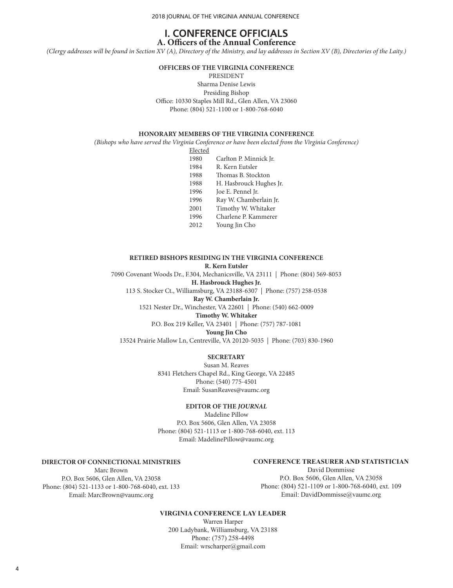2018 JOURNAL OF THE VIRGINIA ANNUAL CONFERENCE

#### **I. CONFERENCE OFFICIALS A. Officers of the Annual Conference**

*(Clergy addresses will be found in Section XV (A), Directory of the Ministry, and lay addresses in Section XV (B), Directories of the Laity.)*

#### **OFFICERS OF THE VIRGINIA CONFERENCE**

PRESIDENT Sharma Denise Lewis Presiding Bishop Office: 10330 Staples Mill Rd., Glen Allen, VA 23060 Phone: (804) 521-1100 or 1-800-768-6040

#### **HONORARY MEMBERS OF THE VIRGINIA CONFERENCE**

*(Bishops who have served the Virginia Conference or have been elected from the Virginia Conference)*

Elected

- 1980 Carlton P. Minnick Jr.
- 1984 R. Kern Eutsler
- 1988 Thomas B. Stockton
- 1988 H. Hasbrouck Hughes Jr.
- 1996 Joe E. Pennel Jr.
- 1996 Ray W. Chamberlain Jr.
- 2001 Timothy W. Whitaker
- 1996 Charlene P. Kammerer
- 2012 Young Jin Cho

#### **RETIRED BISHOPS RESIDING IN THE VIRGINIA CONFERENCE R. Kern Eutsler**

7090 Covenant Woods Dr., F.304, Mechanicsville, VA 23111 | Phone: (804) 569-8053 **H. Hasbrouck Hughes Jr.**

113 S. Stocker Ct., Williamsburg, VA 23188-6307 | Phone: (757) 258-0538

**Ray W. Chamberlain Jr.**

1521 Nester Dr., Winchester, VA 22601 | Phone: (540) 662-0009

**Timothy W. Whitaker** P.O. Box 219 Keller, VA 23401 | Phone: (757) 787-1081

#### **Young Jin Cho**

13524 Prairie Mallow Ln, Centreville, VA 20120-5035 | Phone: (703) 830-1960

#### **SECRETARY**

Susan M. Reaves 8341 Fletchers Chapel Rd., King George, VA 22485 Phone: (540) 775-4501 Email: SusanReaves@vaumc.org

#### **EDITOR OF THE** *JOURNAL*

Madeline Pillow P.O. Box 5606, Glen Allen, VA 23058 Phone: (804) 521-1113 or 1-800-768-6040, ext. 113 Email: MadelinePillow@vaumc.org

#### **DIRECTOR OF CONNECTIONAL MINISTRIES**

Marc Brown P.O. Box 5606, Glen Allen, VA 23058 Phone: (804) 521-1133 or 1-800-768-6040, ext. 133 Email: MarcBrown@vaumc.org

#### **CONFERENCE TREASURER AND STATISTICIAN**

David Dommisse P.O. Box 5606, Glen Allen, VA 23058 Phone: (804) 521-1109 or 1-800-768-6040, ext. 109 Email: DavidDommisse@vaumc.org

#### **VIRGINIA CONFERENCE LAY LEADER**

Warren Harper 200 Ladybank, Williamsburg, VA 23188 Phone: (757) 258-4498 Email: wrscharper@gmail.com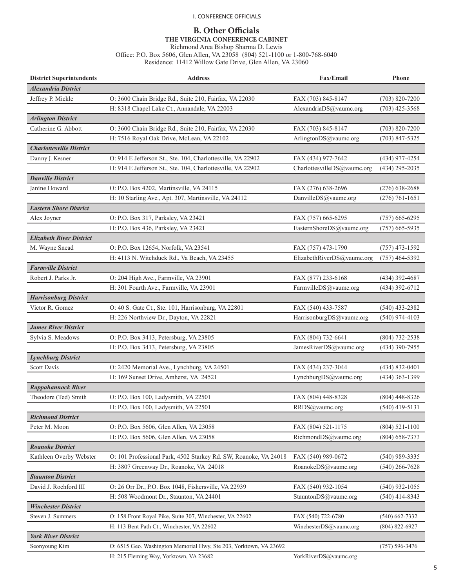#### I. CONFERENCE OFFICIALS

#### **B. Other Officials THE VIRGINIA CONFERENCE CABINET**

Richmond Area Bishop Sharma D. Lewis Office: P.O. Box 5606, Glen Allen, VA 23058 (804) 521-1100 or 1-800-768-6040 Residence: 11412 Willow Gate Drive, Glen Allen, VA 23060

| <b>District Superintendents</b> | <b>Address</b>                                                    | Fax/Email                   | Phone              |
|---------------------------------|-------------------------------------------------------------------|-----------------------------|--------------------|
| <b>Alexandria District</b>      |                                                                   |                             |                    |
| Jeffrey P. Mickle               | O: 3600 Chain Bridge Rd., Suite 210, Fairfax, VA 22030            | FAX (703) 845-8147          | $(703) 820 - 7200$ |
|                                 | H: 8318 Chapel Lake Ct., Annandale, VA 22003                      | AlexandriaDS@vaumc.org      | $(703)$ 425-3568   |
| <b>Arlington District</b>       |                                                                   |                             |                    |
| Catherine G. Abbott             | O: 3600 Chain Bridge Rd., Suite 210, Fairfax, VA 22030            | FAX (703) 845-8147          | $(703)$ 820-7200   |
|                                 | H: 7516 Royal Oak Drive, McLean, VA 22102                         | ArlingtonDS@vaumc.org       | $(703)$ 847-5325   |
| <b>Charlottesville District</b> |                                                                   |                             |                    |
| Danny J. Kesner                 | O: 914 E Jefferson St., Ste. 104, Charlottesville, VA 22902       | FAX (434) 977-7642          | (434) 977-4254     |
|                                 | H: 914 E Jefferson St., Ste. 104, Charlottesville, VA 22902       | CharlottesvilleDS@vaumc.org | $(434)$ 295-2035   |
| <b>Danville District</b>        |                                                                   |                             |                    |
| Janine Howard                   | O: P.O. Box 4202, Martinsville, VA 24115                          | FAX (276) 638-2696          | $(276)$ 638-2688   |
|                                 | H: 10 Starling Ave., Apt. 307, Martinsville, VA 24112             | DanvilleDS@vaumc.org        | $(276) 761 - 1651$ |
| <b>Eastern Shore District</b>   |                                                                   |                             |                    |
| Alex Joyner                     | O: P.O. Box 317, Parksley, VA 23421                               | FAX (757) 665-6295          | $(757)$ 665-6295   |
|                                 | H: P.O. Box 436, Parksley, VA 23421                               | EasternShoreDS@vaumc.org    | $(757)$ 665-5935   |
| <b>Elizabeth River District</b> |                                                                   |                             |                    |
| M. Wayne Snead                  | O: P.O. Box 12654, Norfolk, VA 23541                              | FAX (757) 473-1790          | $(757)$ 473-1592   |
|                                 | H: 4113 N. Witchduck Rd., Va Beach, VA 23455                      | ElizabethRiverDS@vaumc.org  | $(757)$ 464-5392   |
| <b>Farmville District</b>       |                                                                   |                             |                    |
| Robert J. Parks Jr.             | O: 204 High Ave., Farmville, VA 23901                             | FAX (877) 233-6168          | $(434)$ 392-4687   |
|                                 | H: 301 Fourth Ave., Farmville, VA 23901                           | FarmvilleDS@vaumc.org       | (434) 392-6712     |
| <b>Harrisonburg District</b>    |                                                                   |                             |                    |
| Victor R. Gomez                 | O: 40 S. Gate Ct., Ste. 101, Harrisonburg, VA 22801               | FAX (540) 433-7587          | $(540)$ 433-2382   |
|                                 | H: 226 Northview Dr., Dayton, VA 22821                            | HarrisonburgDS@vaumc.org    | $(540)$ 974-4103   |
| <b>James River District</b>     |                                                                   |                             |                    |
| Sylvia S. Meadows               | O: P.O. Box 3413, Petersburg, VA 23805                            | FAX (804) 732-6641          | (804) 732-2538     |
|                                 | H: P.O. Box 3413, Petersburg, VA 23805                            | JamesRiverDS@vaumc.org      | (434) 390-7955     |
| <b>Lynchburg District</b>       |                                                                   |                             |                    |
| <b>Scott Davis</b>              | O: 2420 Memorial Ave., Lynchburg, VA 24501                        | FAX (434) 237-3044          | $(434) 832 - 0401$ |
|                                 | H: 169 Sunset Drive, Amherst, VA 24521                            | LynchburgDS@vaumc.org       | (434) 363-1399     |
| Rappahannock River              |                                                                   |                             |                    |
| Theodore (Ted) Smith            | O: P.O. Box 100, Ladysmith, VA 22501                              | FAX (804) 448-8328          | $(804)$ 448-8326   |
|                                 | H: P.O. Box 100, Ladysmith, VA 22501                              | RRDS@vaumc.org              | $(540)$ 419-5131   |
| <b>Richmond District</b>        |                                                                   |                             |                    |
| Peter M. Moon                   | O: P.O. Box 5606, Glen Allen, VA 23058                            | FAX (804) 521-1175          | $(804) 521 - 1100$ |
|                                 | H: P.O. Box 5606, Glen Allen, VA 23058                            | RichmondDS@vaumc.org        | $(804)$ 658-7373   |
| <b>Roanoke District</b>         |                                                                   |                             |                    |
| Kathleen Overby Webster         | O: 101 Professional Park, 4502 Starkey Rd. SW, Roanoke, VA 24018  | FAX (540) 989-0672          | $(540)$ 989-3335   |
|                                 | H: 3807 Greenway Dr., Roanoke, VA 24018                           | RoanokeDS@vaumc.org         | $(540)$ 266-7628   |
| <b>Staunton District</b>        |                                                                   |                             |                    |
| David J. Rochford III           | O: 26 Orr Dr., P.O. Box 1048, Fishersville, VA 22939              | FAX (540) 932-1054          | $(540)$ 932-1055   |
|                                 | H: 508 Woodmont Dr., Staunton, VA 24401                           | StauntonDS@vaumc.org        | $(540)$ 414-8343   |
| <b>Winchester District</b>      |                                                                   |                             |                    |
| Steven J. Summers               | O: 158 Front Royal Pike, Suite 307, Winchester, VA 22602          | FAX (540) 722-6780          | $(540) 662 - 7332$ |
|                                 | H: 113 Bent Path Ct., Winchester, VA 22602                        | WinchesterDS@vaumc.org      | $(804) 822 - 6927$ |
| <b>York River District</b>      |                                                                   |                             |                    |
| Seonyoung Kim                   | O: 6515 Geo. Washington Memorial Hwy, Ste 203, Yorktown, VA 23692 |                             | $(757) 596 - 3476$ |
|                                 | H: 215 Fleming Way, Yorktown, VA 23682                            | YorkRiverDS@vaumc.org       |                    |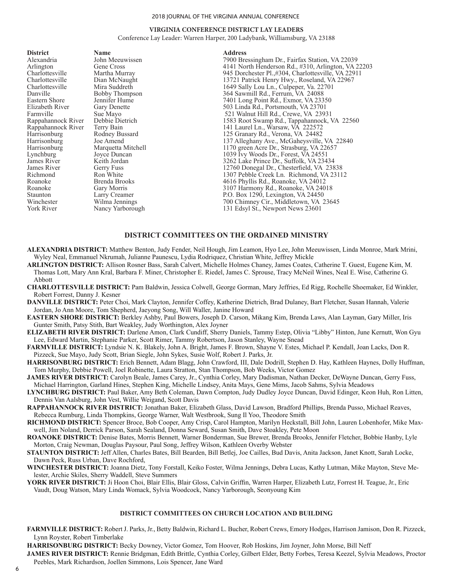#### **VIRGINIA CONFERENCE DISTRICT LAY LEADERS**

Conference Lay Leader: Warren Harper, 200 Ladybank, Williamsburg, VA 23188

**District Name Address** 

Alexandria John Meeuwissen 1900 Bressingham Dr., Fairfax Station, VA 22039<br>Arlington Gene Cross 14141 North Henderson Rd., #310, Arlington, VA 2 Arlington Gene Cross Gene Cross 4141 North Henderson Rd., #310, Arlington, VA 22203<br>Charlottesville Martha Murray 945 Dorchester Pl.,#304, Charlottesville, VA 22911 Charlottesville Martha Murray 945 Dorchester Pl.,#304, Charlottesville, VA 22911<br>Charlottesville Dian McNaught 13721 Patrick Henry Hwy., Roseland, VA 22967 Charlottesville Dian McNaught 13721 Patrick Henry Hwy., Roseland, VA 22967<br>Charlottesville Mira Suddreth 1649 Sally Lou Ln., Culpeper, Va. 22701 Charlottesville Mira Suddreth 1649 Sally Lou Ln., Culpeper, Va. 22701<br>Danville Bobby Thompson 364 Sawmill Rd., Ferrum, VA 24088 Danville Bobby Thompson 364 Sawmill Rd., Ferrum, VA 24088<br>
Eastern Shore Jennifer Hume 7401 Long Point Rd., Exmor, VA 233 7401 Long Point Rd., Exmor, VA 23350 Elizabeth River Gary Denette Gary Gary Care and the Sue Mayo<br>Farmville Sue Mayo 521 Walnut Hill Rd., Crewe, VA 2399 Farmville Sue Mayo 521 Walnut Hill Rd., Crewe, VA 23931<br>
Rappahannock River Debbie Dietrich 1583 Root Swamp Rd., Tappahannock, Rappahannock River Debbie Dietrich 1583 Root Swamp Rd., Tappahannock, VA 22560<br>
Rappahannock River Terry Bain 141 Laurel Ln., Warsaw, VA 222572 Rappahannock River Terry Bain 141 Laurel Ln., Warsaw, VA 222572<br>
Harrisonburg Rodney Bussard 125 Granary Rd., Verona, VA 24482 Rodney Bussard 125 Granary Rd., Verona, VA 24482 Harrisonburg Joe Amend 137 Alleghany Ave., McGaheysville, VA 22840<br>Harrisonburg Marquetta Mitchell 1170 green Acre Dr., Strasburg, VA 22657 Harrisonburg Marquetta Mitchell 1170 green Acre Dr., Strasburg, VA 22657<br>
Lynchburg Joyce Duncan 1039 Ivy Woods Dr., Forest, VA 24551 Lynchburg Joyce Duncan 1039 Ivy Woods Dr., Forest, VA 24551<br>James River Keith Jordan 1039 Ivy Woods Dr., Suffolk, VA 234 3262 Lake Prince Dr., Suffolk, VA 23434 James River Gerry Fuss Gerry Fuss 12760 Donegal Dr., Chesterfield, VA 23838<br>Richmond Ron White Ron Gerry 1307 Pebble Creek Ln. Richmond. VA 2311 1307 Pebble Creek Ln. Richmond, VA 23112 Roanoke Brenda Brooks 4616 Phyllis Rd., Roanoke, VA 24012 Gary Morris 3107 Harmony Rd., Roanoke, VA 24018<br>Larry Creamer P.O. Box 1290, Lexington, VA 24450 Staunton Larry Creamer Larry Creamer P.O. Box 1290, Lexington, VA 24450<br>Winchester Wilma Jennings 700 Chimney Cir., Middletown, VA 2 Winchester Wilma Jennings 700 Chimney Cir., Middletown, VA 23645<br>
York River Nancy Yarborough 131 Edsyl St., Newport News 23601 Nancy Yarborough 131 Edsyl St., Newport News 23601

#### **DISTRICT COMMITTEES ON THE ORDAINED MINISTRY**

- **ALEXANDRIA DISTRICT:** Matthew Benton, Judy Fender, Neil Hough, Jim Leamon, Hyo Lee, John Meeuwissen, Linda Monroe, Mark Mrini, Wyley Neal, Emmanuel Nkrumah, Julianne Paunescu, Lydia Rodriquez, Christian White, Jeffrey Mickle
- **ARLINGTON DISTRICT:** Allison Rosner Bass, Sarah Calvert, Michelle Holmes Chaney, James Coates, Catherine T. Guest, Eugene Kim, M. Thomas Lott, Mary Ann Kral, Barbara F. Miner, Christopher E. Riedel, James C. Sprouse, Tracy McNeil Wines, Neal E. Wise, Catherine G. Abbott
- **CHARLOTTESVILLE DISTRICT:** Pam Baldwin, Jessica Colwell, George Gorman, Mary Jeffries, Ed Rigg, Rochelle Shoemaker, Ed Winkler, Robert Forrest, Danny J. Kesner
- **DANVILLE DISTRICT:** Peter Choi, Mark Clayton, Jennifer Coffey, Katherine Dietrich, Brad Dulaney, Bart Fletcher, Susan Hannah, Valerie Jordan, Jo Ann Moore, Tom Shepherd, Jaeyong Song, Will Waller, Janine Howard
- **EASTERN SHORE DISTRICT:** Berkley Ashby, Paul Bowers, Joseph D. Carson, Mikang Kim, Brenda Laws, Alan Layman, Gary Miller, Iris Gunter Smith, Patsy Stith, Bart Weakley, Judy Worthington, Alex Joyner
- **ELIZABETH RIVER DISTRICT:** Darlene Amon, Clark Cundiff, Sherry Daniels, Tammy Estep, Olivia "Libby" Hinton, June Kernutt, Won Gyu Lee, Edward Martin, Stephanie Parker, Scott Rimer, Tammy Robertson, Jason Stanley, Wayne Snead
- **FARMVILLE DISTRICT:** Lyndsie N. K. Blakely, John A. Bright, James F. Brown, Shayne V. Estes, Michael P. Kendall, Joan Lacks, Don R. Pizzeck, Sue Mayo, Judy Scott, Brian Siegle, John Sykes, Susie Wolf, Robert J. Parks, Jr.
- **HARRISONBURG DISTRICT:** Erich Bennett, Adam Blagg, John Crawford, III, Dale Dodrill, Stephen D. Hay, Kathleen Haynes, Dolly Huffman, Tom Murphy, Debbie Powell, Joel Robinette, Laura Stratton, Stan Thompson, Bob Weeks, Victor Gomez
- **JAMES RIVER DISTRICT:** Carolyn Beale, James Carey, Jr., Cynthia Corley, Mary Dadisman, Nathan Decker, DeWayne Duncan, Gerry Fuss, Michael Harrington, Garland Hines, Stephen King, Michelle Lindsey, Anita Mays, Gene Mims, Jacob Sahms, Sylvia Meadows
- **LYNCHBURG DISTRICT:** Paul Baker, Amy Beth Coleman, Dawn Compton, Judy Dudley Joyce Duncan, David Edinger, Keon Huh, Ron Litten, Dennis Van Aalsburg, John Vest, Willie Weigand, Scott Davis
- **RAPPAHANNOCK RIVER DISTRICT:** Jonathan Baker, Elizabeth Glass, David Lawson, Bradford Phillips, Brenda Pusso, Michael Reaves, Rebecca Rumburg, Linda Thompkins, George Warner, Walt Westbrook, Sung Il Yoo, Theodore Smith
- **RICHMOND DISTRICT:** Spencer Broce, Bob Cooper, Amy Crisp, Carol Hampton, Marilyn Heckstall, Bill John, Lauren Lobenhofer, Mike Maxwell, Jim Noland, Derrick Parson, Sarah Sealand, Donna Seward, Susan Smith, Dave Stoakley, Pete Moon
- **ROANOKE DISTRICT:** Denise Bates, Morris Bennett, Warner Bonderman, Sue Brewer, Brenda Brooks, Jennifer Fletcher, Bobbie Hanby, Lyle Morton, Craig Newman, Douglas Paysour, Paul Song, Jeffrey Wilson, Kathleen Overby Webster
- **STAUNTON DISTRICT:** Jeff Allen, Charles Bates, Bill Bearden, Bill Betlej, Joe Cailles, Bud Davis, Anita Jackson, Janet Knott, Sarah Locke, Dawn Peck, Russ Urban, Dave Rochford,
- **WINCHESTER DISTRICT:** Joanna Dietz, Tony Forstall, Keiko Foster, Wilma Jennings, Debra Lucas, Kathy Lutman, Mike Mayton, Steve Melester, Archie Skiles, Sherry Waddell, Steve Summers
- **YORK RIVER DISTRICT:** Ji Hoon Choi, Blair Ellis, Blair Gloss, Calvin Griffin, Warren Harper, Elizabeth Lutz, Forrest H. Teague, Jr., Eric Vaudt, Doug Watson, Mary Linda Womack, Sylvia Woodcock, Nancy Yarborough, Seonyoung Kim

#### **DISTRICT COMMITTEES ON CHURCH LOCATION AND BUILDING**

**FARMVILLE DISTRICT:** Robert J. Parks, Jr., Betty Baldwin, Richard L. Bucher, Robert Crews, Emory Hodges, Harrison Jamison, Don R. Pizzeck, Lynn Royster, Robert Timberlake

**HARRISONBURG DISTRICT:** Becky Downey, Victor Gomez, Tom Hoover, Rob Hoskins, Jim Joyner, John Morse, Bill Neff

**JAMES RIVER DISTRICT:** Rennie Bridgman, Edith Brittle, Cynthia Corley, Gilbert Elder, Betty Forbes, Teresa Keezel, Sylvia Meadows, Proctor Peebles, Mark Richardson, Joellen Simmons, Lois Spencer, Jane Ward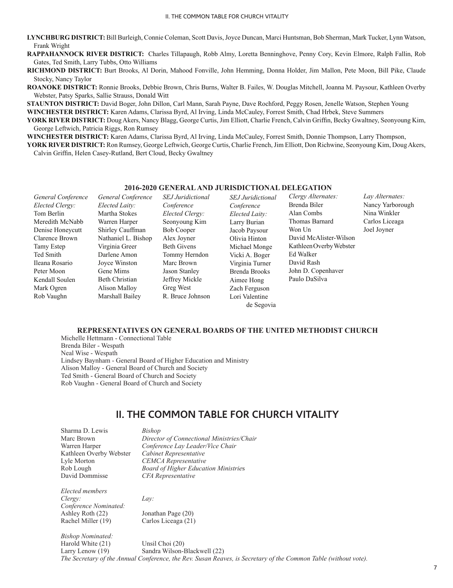**LYNCHBURG DISTRICT:** Bill Burleigh, Connie Coleman, Scott Davis, Joyce Duncan, Marci Huntsman, Bob Sherman, Mark Tucker, Lynn Watson, Frank Wright

**RAPPAHANNOCK RIVER DISTRICT:** Charles Tillapaugh, Robb Almy, Loretta Benninghove, Penny Cory, Kevin Elmore, Ralph Fallin, Rob Gates, Ted Smith, Larry Tubbs, Otto Williams

**RICHMOND DISTRICT:** Burt Brooks, Al Dorin, Mahood Fonville, John Hemming, Donna Holder, Jim Mallon, Pete Moon, Bill Pike, Claude Stocky, Nancy Taylor

**ROANOKE DISTRICT:** Ronnie Brooks, Debbie Brown, Chris Burns, Walter B. Failes, W. Douglas Mitchell, Joanna M. Paysour, Kathleen Overby Webster, Patsy Sparks, Sallie Strauss, Donald Witt

**STAUNTON DISTRICT:** David Boger, John Dillon, Carl Mann, Sarah Payne, Dave Rochford, Peggy Rosen, Jenelle Watson, Stephen Young **WINCHESTER DISTRICT:** Karen Adams, Clarissa Byrd, Al Irving, Linda McCauley, Forrest Smith, Chad Hrbek, Steve Summers

**YORK RIVER DISTRICT:** Doug Akers, Nancy Blagg, George Curtis, Jim Elliott, Charlie French, Calvin Griffin, Becky Gwaltney, Seonyoung Kim, George Leftwich, Patricia Riggs, Ron Rumsey

**WINCHESTER DISTRICT:** Karen Adams, Clarissa Byrd, Al Irving, Linda McCauley, Forrest Smith, Donnie Thompson, Larry Thompson, **YORK RIVER DISTRICT:** Ron Rumsey, George Leftwich, George Curtis, Charlie French, Jim Elliott, Don Richwine, Seonyoung Kim, Doug Akers, Calvin Griffin, Helen Casey-Rutland, Bert Cloud, Becky Gwaltney

#### **2016-2020 GENERAL AND JURISDICTIONAL DELEGATION**

| General Conference | General Conference    | <b>SEJ</b> Juridictional | <b>SEJ</b> Juridictional | Clergy Alternates:      | Lay Alternates:  |
|--------------------|-----------------------|--------------------------|--------------------------|-------------------------|------------------|
| Elected Clergy:    | Elected Laity:        | Conference               | Conference               | Brenda Biler            | Nancy Yarborough |
| Tom Berlin         | Martha Stokes         | Elected Clergy:          | Elected Laity:           | Alan Combs              | Nina Winkler     |
| Meredith McNabb    | Warren Harper         | Seonyoung Kim            | Larry Burian             | Thomas Barnard          | Carlos Liceaga   |
| Denise Honeycutt   | Shirley Cauffman      | <b>Bob Cooper</b>        | Jacob Paysour            | Won Un                  | Joel Joyner      |
| Clarence Brown     | Nathaniel L. Bishop   | Alex Joyner              | Olivia Hinton            | David McAlister-Wilson  |                  |
| Tamy Estep         | Virginia Greer        | <b>Beth Givens</b>       | Michael Monge            | Kathleen Overby Webster |                  |
| Ted Smith          | Darlene Amon          | Tommy Herndon            | Vicki A. Boger           | Ed Walker               |                  |
| Ileana Rosario     | Joyce Winston         | Marc Brown               | Virginia Turner          | David Rash              |                  |
| Peter Moon         | Gene Mims             | <b>Jason Stanley</b>     | Brenda Brooks            | John D. Copenhaver      |                  |
| Kendall Soulen     | <b>Beth Christian</b> | Jeffrey Mickle           | Aimee Hong               | Paulo DaSilva           |                  |
| Mark Ogren         | Alison Malloy         | Greg West                | Zach Ferguson            |                         |                  |
| Rob Vaughn         | Marshall Bailey       | R. Bruce Johnson         | Lori Valentine           |                         |                  |
|                    |                       |                          | de Segovia               |                         |                  |

#### **REPRESENTATIVES ON GENERAL BOARDS OF THE UNITED METHODIST CHURCH**

Michelle Hettmann - Connectional Table Brenda Biler - Wespath Neal Wise - Wespath Lindsey Baynham - General Board of Higher Education and Ministry Alison Malloy - General Board of Church and Society Ted Smith - General Board of Church and Society Rob Vaughn - General Board of Church and Society

## **II. THE COMMON TABLE FOR CHURCH VITALITY**

| Sharma D. Lewis         | Bishop                                      |
|-------------------------|---------------------------------------------|
| Marc Brown              | Director of Connectional Ministries/Chair   |
| Warren Harper           | Conference Lay Leader/Vice Chair            |
| Kathleen Overby Webster | Cabinet Representative                      |
| Lyle Morton             | <b>CEMCA</b> Representative                 |
| Rob Lough               | <b>Board of Higher Education Ministries</b> |
| David Dommisse          | CFA Representative                          |
| Elected members         |                                             |
| Clergy:                 | Lay:                                        |
| Conference Nominated:   |                                             |
| Ashley Roth (22)        | Jonathan Page (20)                          |
| Rachel Miller (19)      | Carlos Liceaga (21)                         |

*Bishop Nominated:* Harold White (21) Unsil Choi (20)<br>Larry Lenow (19) Sandra Wilson-I Sandra Wilson-Blackwell (22) *The Secretary of the Annual Conference, the Rev. Susan Reaves, is Secretary of the Common Table (without vote).*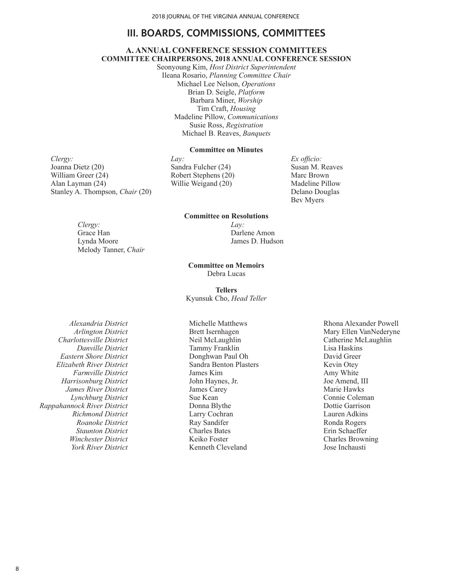## **III. BOARDS, COMMISSIONS, COMMITTEES**

## **A. ANNUAL CONFERENCE SESSION COMMITTEES**

**COMMITTEE CHAIRPERSONS, 2018 ANNUAL CONFERENCE SESSION**

Seonyoung Kim, *Host District Superintendent* Ileana Rosario, *Planning Committee Chair* Michael Lee Nelson, *Operations* Brian D. Seigle, *Platform* Barbara Miner, *Worship* Tim Craft, *Housing* Madeline Pillow, *Communications* Susie Ross, *Registration* Michael B. Reaves, *Banquets*

#### **Committee on Minutes**

*Clergy:* Joanna Dietz (20) William Greer (24) Alan Layman (24) Stanley A. Thompson, *Chair* (20) *Lay:* Sandra Fulcher (24) Robert Stephens (20) Willie Weigand (20)

*Ex officio:* Susan M. Reaves Marc Brown Madeline Pillow Delano Douglas Bev Myers

#### **Committee on Resolutions**

*Clergy:* Grace Han Lynda Moore Melody Tanner, *Chair* *Lay:* Darlene Amon James D. Hudson

#### **Committee on Memoirs**

Debra Lucas

**Tellers** Kyunsuk Cho, *Head Teller*

*Eastern Shore District* **Donghwan Paul Oh Donghwan Paul Oh Donghwan Paul Oh Donghwan Paul Oh Donghwan Plasters** *Elizabeth River District* Sandra Benton Plasters Kevin Otey<br>Farmville District James Kim Amy White *Harrisonburg District* John Haynes, Jr. John Haynes, John Haynes, Jr. Joe Amend, II<br>James River District James Carey Marie Hawks **James River District** *Rappahannock River District* **Comma** Blythe Donna Blythe Dottie Garrison<br> *Richmond District* Larry Cochran Lauren Adkins *Winchester District* 

*Danville District* Tammy Franklin Lisa Haskins *Farmville District* James Kim *Amy White*<br> *Farmville District* John Haynes, Jr. 3. Joe Amend, III *Lynchburg District* Sue Kean Sue Ream Connie Coleman **Connie Coleman** *Richmond District* Larry Cochran Lauren Adkins *Roanoke District* **Ray Sandifer** Roanoke *Roanoke District* **Ray Sandifer** Ronda Rogers **Roanoke District Ronda Rogers Charles Bates Ronda Rogers Charles Bates Ronda Rogers Charles Bates Romanoke** *Roanoke Di Staunton District* Charles Bates Erin Schaeffer<br>
Erin Schaeffer (Erin Schaeffer Keiko Foster Charles Browning) *York River District* Kenneth Cleveland Jose Inchausti

*Alexandria District* Michelle Matthews Rhona Alexander Powell<br>Arlington District Brett Isernhagen Mary Ellen VanNederyne *Arlington District* Brett Isernhagen Mary Ellen VanNederyne Charlottesville District Neil McLaughlin Catherine McLaughlin *Cottesville District* **Neil McLaughlin** (*Catherine McLaughlin Catherine McLaughlin Danville District* **Network** Tammy Franklin (*Catherine McLaughlin Danville District* **Catherine McLaughlin**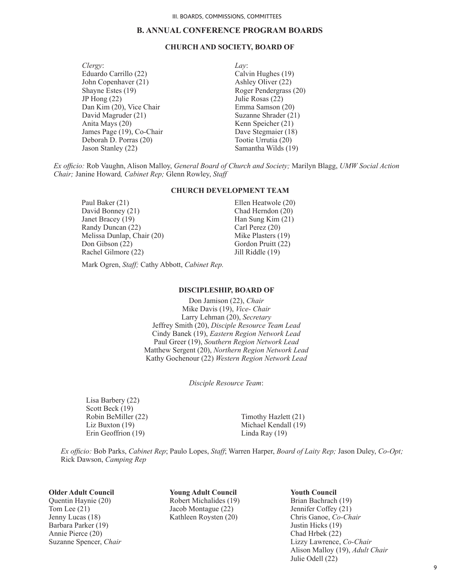#### **B. ANNUAL CONFERENCE PROGRAM BOARDS**

#### **CHURCH AND SOCIETY, BOARD OF**

*Clergy*: Eduardo Carrillo (22) John Copenhaver (21) Shayne Estes (19) JP Hong (22) Dan Kim (20), Vice Chair David Magruder (21) Anita Mays (20) James Page (19), Co-Chair Deborah D. Porras (20) Jason Stanley (22)

*Lay*: Calvin Hughes (19) Ashley Oliver (22) Roger Pendergrass (20) Julie Rosas (22) Emma Samson (20) Suzanne Shrader (21) Kenn Speicher (21) Dave Stegmaier (18) Tootie Urrutia (20) Samantha Wilds (19)

*Ex officio:* Rob Vaughn, Alison Malloy, *General Board of Church and Society;* Marilyn Blagg, *UMW Social Action Chair;* Janine Howard*, Cabinet Rep;* Glenn Rowley, *Staff*

#### **CHURCH DEVELOPMENT TEAM**

Paul Baker (21) David Bonney (21) Janet Bracey (19) Randy Duncan (22) Melissa Dunlap, Chair (20) Don Gibson (22) Rachel Gilmore (22)

Ellen Heatwole (20) Chad Herndon (20) Han Sung Kim (21) Carl Perez (20) Mike Plasters (19) Gordon Pruitt (22) Jill Riddle (19)

Mark Ogren, *Staff;* Cathy Abbott, *Cabinet Rep.*

#### **DISCIPLESHIP, BOARD OF**

Don Jamison (22), *Chair*  Mike Davis (19), *Vice- Chair* Larry Lehman (20), *Secretary*  Jeffrey Smith (20), *Disciple Resource Team Lead* Cindy Banek (19), *Eastern Region Network Lead* Paul Greer (19), *Southern Region Network Lead* Matthew Sergent (20), *Northern Region Network Lead* Kathy Gochenour (22) *Western Region Network Lead*

#### *Disciple Resource Team*:

Lisa Barbery (22) Scott Beck (19) Robin BeMiller (22) Liz Buxton (19) Erin Geoffrion (19)

Timothy Hazlett (21) Michael Kendall (19) Linda Ray (19)

*Ex officio:* Bob Parks, *Cabinet Rep*; Paulo Lopes, *Staff*; Warren Harper, *Board of Laity Rep;* Jason Duley, *Co-Opt;* Rick Dawson, *Camping Rep*

#### **Older Adult Council**

Quentin Haynie (20) Tom Lee (21) Jenny Lucas (18) Barbara Parker (19) Annie Pierce (20) Suzanne Spencer, *Chair* **Young Adult Council** Robert Michalides (19) Jacob Montague (22) Kathleen Roysten (20)

**Youth Council** Brian Bachrach (19) Jennifer Coffey (21) Chris Ganoe, *Co-Chair* Justin Hicks (19) Chad Hrbek (22) Lizzy Lawrence, *Co-Chair* Alison Malloy (19), *Adult Chair* Julie Odell (22)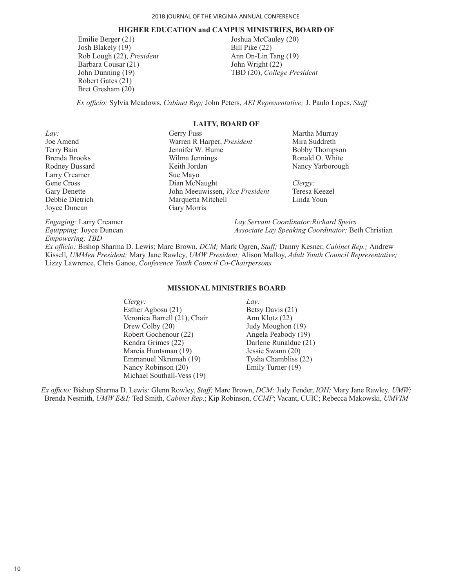#### **HIGHER EDUCATION and CAMPUS MINISTRIES, BOARD OF**

Emilie Berger (21) Josh Blakely (19) Rob Lough (22), *President* Barbara Cousar (21) John Dunning (19) Robert Gates (21) Bret Gresham (20)

Joshua McCauley (20) Bill Pike (22) Ann On-Lin Tang (19) John Wright (22) TBD (20), *College President*

*Ex officio:* Sylvia Meadows, *Cabinet Rep;* John Peters, *AEI Representative;* J. Paulo Lopes, *Staff*

#### **LAITY, BOARD OF**

| Gerry Fuss                      | Martha Murray    |
|---------------------------------|------------------|
| Warren R Harper, President      | Mira Suddreth    |
| Jennifer W. Hume                | Bobby Thompson   |
| Wilma Jennings                  | Ronald O. White  |
| Keith Jordan                    | Nancy Yarborough |
| Sue Mayo                        |                  |
| Dian McNaught                   | Clergy:          |
| John Meeuwissen, Vice President | Teresa Keezel    |
| Marquetta Mitchell              | Linda Youn       |
| Gary Morris                     |                  |

*Empowering: TBD*

*Lay:* Joe Amend Terry Bain Brenda Brooks Rodney Bussard Larry Creamer Gene Cross Gary Denette Debbie Dietrich Joyce Duncan

*Engaging: Larry Creamer Lay Servant Coordinator: Richard Speirs*<br> *Equipping: Joyce Duncan Associate Lay Speaking Coordinator: Be Associate Lay Speaking Coordinator: Beth Christian* 

*Ex officio:* Bishop Sharma D. Lewis; Marc Brown, *DCM;* Mark Ogren, *Staff;* Danny Kesner, *Cabinet Rep.;* Andrew Kissell*, UMMen President;* Mary Jane Rawley, *UMW President;* Alison Malloy, *Adult Youth Council Representative;*  Lizzy Lawrence, Chris Ganoe, *Conference Youth Council Co-Chairpersons*

#### **MISSIONAL MINISTRIES BOARD**

- *Clergy:* Esther Agbosu (21) Veronica Barrell (21), Chair Drew Colby (20) Robert Gochenour (22) Kendra Grimes (22) Marcia Huntsman (19) Emmanuel Nkrumah (19) Nancy Robinson (20) Michael Southall-Vess (19)
- *Lay:* Betsy Davis (21) Ann Klotz (22) Judy Moughon (19) Angela Peabody (19) Darlene Runaldue (21) Jessie Swann (20) Tysha Chambliss (22) Emily Turner (19)

*Ex officio:* Bishop Sharma D. Lewis*;* Glenn Rowley, *Staff;* Marc Brown, *DCM;* Judy Fender, *IOH;* Mary Jane Rawley*, UMW;*  Brenda Nesmith, *UMW E&I;* Ted Smith, *Cabinet Rep*.; Kip Robinson, *CCMP*; Vacant, CUIC; Rebecca Makowski, *UMVIM*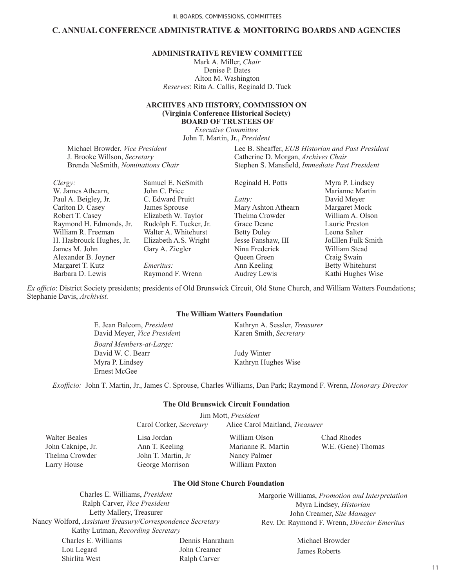### **C. ANNUAL CONFERENCE ADMINISTRATIVE & MONITORING BOARDS AND AGENCIES**

### **ADMINISTRATIVE REVIEW COMMITTEE**

Mark A. Miller, *Chair* Denise P. Bates Alton M. Washington *Reserves*: Rita A. Callis, Reginald D. Tuck

#### **ARCHIVES AND HISTORY, COMMISSION ON (Virginia Conference Historical Society) BOARD OF TRUSTEES OF**

*Executive Committee* John T. Martin, Jr., *President*

Michael Browder, *Vice President* J. Brooke Willson, *Secretary* Brenda NeSmith, *Nominations Chair*  Lee B. Sheaffer, *EUB Historian and Past President* Catherine D. Morgan, *Archives Chair* Stephen S. Mansfield, *Immediate Past President* 

*Clergy:* W. James Athearn, Paul A. Beigley, Jr. Carlton D. Casey Robert T. Casey Raymond H. Edmonds, Jr. William R. Freeman H. Hasbrouck Hughes, Jr. James M. John Alexander B. Joyner Margaret T. Kutz Barbara D. Lewis

Samuel E. NeSmith John C. Price C. Edward Pruitt James Sprouse Elizabeth W. Taylor Rudolph E. Tucker, Jr. Walter A. Whitehurst Elizabeth A.S. Wright Gary A. Ziegler *Emeritus:* Raymond F. Wrenn

Reginald H. Potts *Laity:*  Mary Ashton Athearn Thelma Crowder Grace Deane Betty Duley Jesse Fanshaw, III Nina Frederick Queen Green Ann Keeling Audrey Lewis

Myra P. Lindsey Marianne Martin David Meyer Margaret Mock William A. Olson Laurie Preston Leona Salter JoEllen Fulk Smith William Stead Craig Swain Betty Whitehurst Kathi Hughes Wise

*Ex officio*: District Society presidents; presidents of Old Brunswick Circuit, Old Stone Church, and William Watters Foundations; Stephanie Davis, *Archivist.*

#### **The William Watters Foundation**

*Board Members-at-Large:* David W. C. Bearr Myra P. Lindsey Ernest McGee E. Jean Balcom, *President* David Meyer, *Vice Presiden*t Kathryn A. Sessler, *Treasurer* Karen Smith, *Secretary*

Judy Winter Kathryn Hughes Wise

*Exofficio:* John T. Martin, Jr., James C. Sprouse, Charles Williams, Dan Park; Raymond F. Wrenn, *Honorary Director*

#### **The Old Brunswick Circuit Foundation**

Jim Mott, *President*

Carol Corker, *Secretary* Alice Carol Maitland, *Treasurer*

Walter Beales John Caknipe, Jr. Thelma Crowder Larry House

Lisa Jordan Ann T. Keeling John T. Martin, Jr George Morrison

William Olson Marianne R. Martin Nancy Palmer William Paxton

Chad Rhodes W.E. (Gene) Thomas

#### **The Old Stone Church Foundation**

Charles E. Williams, *President* Ralph Carver, *Vice President* Letty Mallery, Treasurer Nancy Wolford, *Assistant Treasury/Correspondence Secretary* Kathy Lutman, *Recording Secretary* Charles E. Williams Lou Legard Shirlita West Dennis Hanraham John Creamer Ralph Carver

Margorie Williams, *Promotion and Interpretation* Myra Lindsey, *Historian* John Creamer, *Site Manager* Rev. Dr. Raymond F. Wrenn, *Director Emeritus*

> Michael Browder James Roberts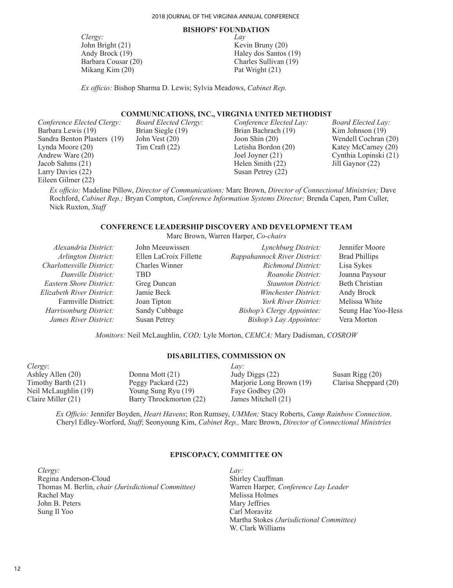#### **BISHOPS' FOUNDATION**

*Clergy:* John Bright (21) Andy Brock (19) Barbara Cousar (20) Mikang Kim (20)

*Lay* Kevin Bruny (20) Haley dos Santos (19) Charles Sullivan (19) Pat Wright (21)

 *Ex officio:* Bishop Sharma D. Lewis; Sylvia Meadows, *Cabinet Rep.*

#### **COMMUNICATIONS, INC., VIRGINIA UNITED METHODIST**

*Conference Elected Clergy:* Barbara Lewis (19) Sandra Benton Plasters (19) Lynda Moore (20) Andrew Ware (20) Jacob Sahms (21) Larry Davies (22) Eileen Gilmer (22)

*Board Elected Clergy:* Brian Siegle (19) John Vest (20) Tim Craft (22)

Donna Mott (21) Peggy Packard (22) Young Sung Ryu (19) Barry Throckmorton (22) *Conference Elected Lay:* Brian Bachrach (19) Joon Shin (20) Letisha Bordon (20) Joel Joyner (21) Helen Smith (22) Susan Petrey (22)

*Board Elected Lay:* Kim Johnson (19) Wendell Cochran (20) Katey McCarney (20) Cynthia Lopinski (21) Jill Gaynor (22)

*Ex officio:* Madeline Pillow, *Director of Communications;* Marc Brown, *Director of Connectional Ministries;* Dave Rochford, *Cabinet Rep.;* Bryan Compton, *Conference Information Systems Director;* Brenda Capen, Pam Culler, Nick Ruxton, *Staff*

#### **CONFERENCE LEADERSHIP DISCOVERY AND DEVELOPMENT TEAM**

Marc Brown, Warren Harper, *Co-chairs*

| John Meeuwissen<br>Ellen LaCroix Fillette | Lynchburg District:<br>Rappahannock River District: | Jennifer Moore<br><b>Brad Phillips</b> |
|-------------------------------------------|-----------------------------------------------------|----------------------------------------|
| <b>Charles Winner</b>                     | <b>Richmond District:</b>                           | Lisa Sykes                             |
| TBD.                                      | Roanoke District:                                   | Joanna Paysour                         |
| Greg Duncan                               | <b>Staunton District:</b>                           | <b>Beth Christian</b>                  |
| Jamie Beck                                | Winchester District:                                | Andy Brock                             |
| Joan Tipton                               | York River District:                                | Melissa White                          |
| Sandy Cubbage                             | Bishop's Clergy Appointee:                          | Seung Hae Yoo-Hess                     |
| <b>Susan Petrey</b>                       | Bishop's Lay Appointee:                             | Vera Morton                            |
|                                           |                                                     |                                        |

*Monitors:* Neil McLaughlin, *COD;* Lyle Morton, *CEMCA;* Mary Dadisman, *COSROW*

*Clergy*: Ashley Allen (20) Timothy Barth (21) Neil McLaughlin (19) Claire Miller (21)

#### **DISABILITIES, COMMISSION ON**

*Lay:* Judy Diggs (22) Marjorie Long Brown (19) Faye Godbey (20) James Mitchell (21) Susan Rigg (20) Clarisa Sheppard (20)

*Ex Officio:* Jennifer Boyden, *Heart Havens*; Ron Rumsey, *UMMen;* Stacy Roberts, *Camp Rainbow Connection*. Cheryl Edley-Worford, *Staff*; Seonyoung Kim, *Cabinet Rep.,* Marc Brown, *Director of Connectional Ministries*

#### **EPISCOPACY, COMMITTEE ON**

*Clergy:* Regina Anderson-Cloud Thomas M. Berlin, *chair (Jurisdictional Committee)* Rachel May John B. Peters Sung Il Yoo

*Lay:* Shirley Cauffman Warren Harper*, Conference Lay Leader* Melissa Holmes Mary Jeffries Carl Moravitz Martha Stokes *(Jurisdictional Committee)* W. Clark Williams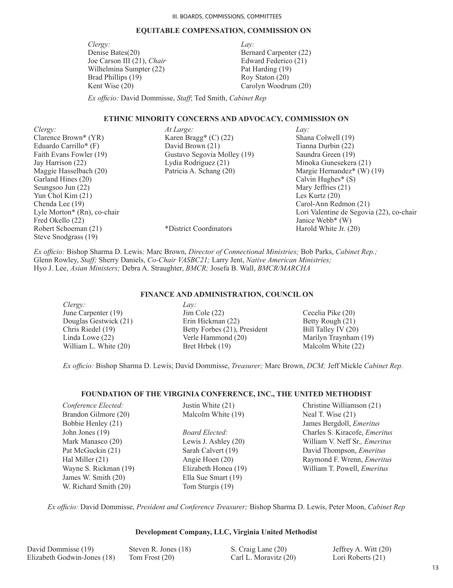#### **EQUITABLE COMPENSATION, COMMISSION ON**

*Clergy:* Denise Bates(20) Joe Carson III (21), *Chair* Wilhelmina Sumpter (22) Brad Phillips (19) Kent Wise (20)

*Lay:* Bernard Carpenter (22) Edward Federico (21) Pat Harding (19) Roy Staton (20) Carolyn Woodrum (20)

*Ex officio:* David Dommisse, *Staff*; Ted Smith, *Cabinet Rep*

#### **ETHNIC MINORITY CONCERNS AND ADVOCACY, COMMISSION ON**

*Clergy:* Clarence Brown\* (YR) Eduardo Carrillo\* (F) Faith Evans Fowler (19) Jay Harrison (22) Maggie Hasselbach (20) Garland Hines (20) Seungsoo Jun (22) Yun Chol Kim (21) Chenda Lee (19) Lyle Morton\* (Rn), co-chair Fred Okello (22) Robert Schoeman (21) Steve Snodgrass (19)

*At Large:* Karen Bragg\* (C) (22) David Brown (21) Gustavo Segovia Molley (19) Lydia Rodriguez (21) Patricia A. Schang (20)

\*District Coordinators

*Lay:* Shana Colwell (19) Tianna Durbin (22) Saundra Green (19) Minoka Gunesekera (21) Margie Hernandez\* (W) (19) Calvin Hughes\* (S) Mary Jeffries (21) Les Kurtz (20) Carol-Ann Redmon (21) Lori Valentine de Segovia (22), co-chair Janice Webb\* (W) Harold White Jr. (20)

*Ex officio:* Bishop Sharma D. Lewis*;* Marc Brown, *Director of Connectional Ministries;* Bob Parks, *Cabinet Rep.;*  Glenn Rowley, *Staff;* Sherry Daniels, *Co-Chair VASBC21;* Larry Jent, *Native American Ministries;* Hyo J. Lee, *Asian Ministers;* Debra A. Straughter, *BMCR;* Josefa B. Wall, *BMCR/MARCHA*

#### **FINANCE AND ADMINISTRATION, COUNCIL ON**

| Lav:                           |                       |
|--------------------------------|-----------------------|
| $\text{Jim} \text{ Cole} (22)$ | Cecelia Pike (20)     |
| Erin Hickman (22)              | Betty Rough (21)      |
| Betty Forbes (21), President   | Bill Talley IV (20)   |
| Verle Hammond (20)             | Marilyn Traynham (19) |
| Bret Hrbek (19)                | Malcolm White (22)    |
|                                |                       |

*Ex officio:* Bishop Sharma D. Lewis; David Dommisse, *Treasurer;* Marc Brown, *DCM;* Jeff Mickle *Cabinet Rep.*

#### **FOUNDATION OF THE VIRGINIA CONFERENCE, INC., THE UNITED METHODIST**

| Conference Elected:   | Justin White (21)      | Christine Williamson (21)            |
|-----------------------|------------------------|--------------------------------------|
| Brandon Gilmore (20)  | Malcolm White (19)     | Neal T. Wise $(21)$                  |
| Bobbie Henley (21)    |                        | James Bergdoll, <i>Emeritus</i>      |
| John Jones (19)       | Board Elected:         | Charles S. Kiracofe, <i>Emeritus</i> |
| Mark Manasco (20)     | Lewis J. Ashley $(20)$ | William V. Neff Sr., <i>Emeritus</i> |
| Pat McGuckin (21)     | Sarah Calvert (19)     | David Thompson, <i>Emeritus</i>      |
| Hal Miller (21)       | Angie Hoen (20)        | Raymond F. Wrenn, <i>Emeritus</i>    |
| Wayne S. Rickman (19) | Elizabeth Honea (19)   | William T. Powell, <i>Emeritus</i>   |
| James W. Smith (20)   | Ella Sue Smart (19)    |                                      |
| W. Richard Smith (20) | Tom Sturgis (19)       |                                      |
|                       |                        |                                      |

*Ex officio:* David Dommisse, *President and Conference Treasurer;* Bishop Sharma D. Lewis, Peter Moon, *Cabinet Rep*

#### **Development Company, LLC, Virginia United Methodist**

David Dommisse (19) Elizabeth Godwin-Jones (18) Steven R. Jones (18) Tom Frost (20)

S. Craig Lane (20) Carl L. Moravitz (20) Jeffrey A. Witt (20) Lori Roberts (21)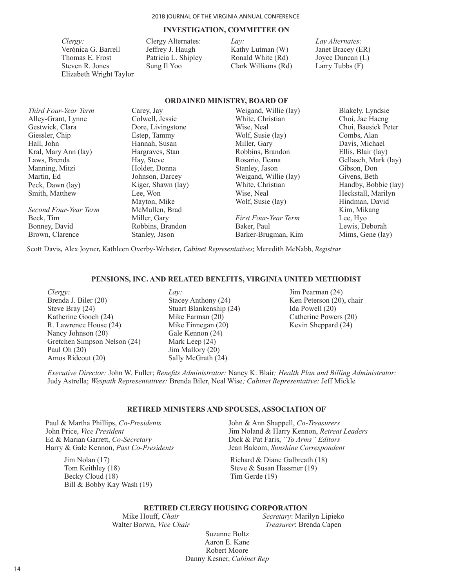#### 2018 JOURNAL OF THE VIRGINIA ANNUAL CONFERENCE

#### **INVESTIGATION, COMMITTEE ON**

**ORDAINED MINISTRY, BOARD OF** 

*Clergy:*  Verónica G. Barrell Thomas E. Frost Steven R. Jones Elizabeth Wright Taylor

Clergy Alternates: Jeffrey J. Haugh Patricia L. Shipley Sung Il Yoo

*Lay:* Kathy Lutman (W) Ronald White (Rd) Clark Williams (Rd) *Lay Alternates:* Janet Bracey (ER) Joyce Duncan (L) Larry Tubbs (F)

|                       |                    | <b>URDIMITED MITTED FRIGHT DOINED OF</b> |                      |
|-----------------------|--------------------|------------------------------------------|----------------------|
| Third Four-Year Term  | Carey, Jay         | Weigand, Willie (lay)                    | Blakely, Lyndsie     |
| Alley-Grant, Lynne    | Colwell, Jessie    | White, Christian                         | Choi, Jae Haeng      |
| Gestwick, Clara       | Dore, Livingstone  | Wise, Neal                               | Choi, Baesick Peter  |
| Giessler, Chip        | Estep, Tammy       | Wolf, Susie (lay)                        | Combs, Alan          |
| Hall, John            | Hannah, Susan      | Miller, Gary                             | Davis, Michael       |
| Kral, Mary Ann (lay)  | Hargraves, Stan    | Robbins, Brandon                         | Ellis, Blair (lay)   |
| Laws, Brenda          | Hay, Steve         | Rosario, Ileana                          | Gellasch, Mark (lay) |
| Manning, Mitzi        | Holder, Donna      | Stanley, Jason                           | Gibson, Don          |
| Martin, Ed            | Johnson, Darcey    | Weigand, Willie (lay)                    | Givens, Beth         |
| Peck, Dawn (lay)      | Kiger, Shawn (lay) | White, Christian                         | Handby, Bobbie (lay) |
| Smith, Matthew        | Lee, Won           | Wise, Neal                               | Heckstall, Marilyn   |
|                       | Mayton, Mike       | Wolf, Susie (lay)                        | Hindman, David       |
| Second Four-Year Term | McMullen, Brad     |                                          | Kim, Mikang          |
| Beck, Tim             | Miller, Gary       | First Four-Year Term                     | Lee, Hyo             |
| Bonney, David         | Robbins, Brandon   | Baker, Paul                              | Lewis, Deborah       |
| Brown, Clarence       | Stanley, Jason     | Barker-Brugman, Kim                      | Mims, Gene (lay)     |
|                       |                    |                                          |                      |

Scott Davis, Alex Joyner, Kathleen Overby-Webster, *Cabinet Representatives;* Meredith McNabb, *Registrar*

#### **PENSIONS, INC. AND RELATED BENEFITS, VIRGINIA UNITED METHODIST**

- *Clergy:* Brenda J. Biler (20) Steve Bray (24) Katherine Gooch (24) R. Lawrence House (24) Nancy Johnson (20) Gretchen Simpson Nelson (24) Paul Oh (20) Amos Rideout (20)
- *Lay:* Stacey Anthony (24) Stuart Blankenship (24) Mike Earman (20) Mike Finnegan (20) Gale Kennon (24) Mark Leep (24) Jim Mallory (20) Sally McGrath (24)

Jim Pearman (24) Ken Peterson (20), chair Ida Powell (20) Catherine Powers (20) Kevin Sheppard (24)

*Executive Director:* John W. Fuller; *Benefits Administrator:* Nancy K. Blair*; Health Plan and Billing Administrator:*  Judy Astrella; *Wespath Representatives:* Brenda Biler, Neal Wise*; Cabinet Representative:* Jeff Mickle

#### **RETIRED MINISTERS AND SPOUSES, ASSOCIATION OF**

Paul & Martha Phillips, *Co-Presidents* John Price, *Vice President* Ed & Marian Garrett, *Co-Secretary* Harry & Gale Kennon, *Past Co-Presidents* 

> Jim Nolan (17) Tom Keithley (18) Becky Cloud (18) Bill & Bobby Kay Wash (19)

John & Ann Shappell, *Co-Treasurers* Jim Noland & Harry Kennon, *Retreat Leaders* Dick & Pat Faris, *"To Arms" Editors* Jean Balcom, *Sunshine Correspondent* 

Richard & Diane Galbreath (18) Steve & Susan Hassmer (19) Tim Gerde (19)

#### **RETIRED CLERGY HOUSING CORPORATION**

Mike Houff, *Chair* Walter Borwn, *Vice Chair* *Secretary*: Marilyn Lipieko *Treasurer*: Brenda Capen

Suzanne Boltz Aaron E. Kane Robert Moore Danny Kesner, *Cabinet Rep*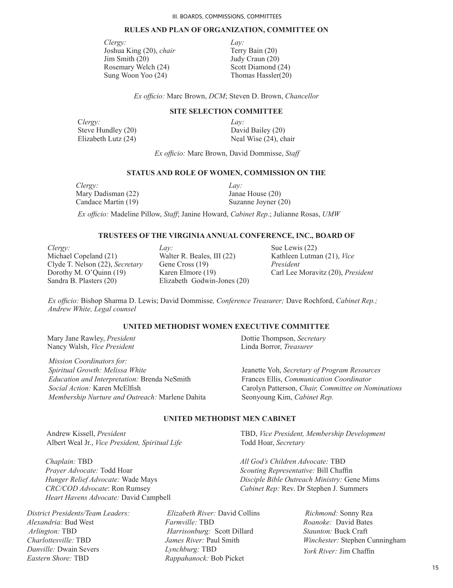#### **RULES AND PLAN OF ORGANIZATION, COMMITTEE ON**

*Clergy:* Joshua King (20), *chair* Jim Smith (20) Rosemary Welch (24) Sung Woon Yoo (24)

*Lay:* Terry Bain (20) Judy Craun (20) Scott Diamond (24) Thomas Hassler(20)

*Ex officio:* Marc Brown, *DCM*; Steven D. Brown, *Chancellor*

#### **SITE SELECTION COMMITTEE**

C*lergy:* Steve Hundley (20) Elizabeth Lutz (24)

*Lay:* David Bailey (20) Neal Wise (24), chair

*Ex officio:* Marc Brown, David Dommisse, *Staff*

#### **STATUS AND ROLE OF WOMEN, COMMISSION ON THE**

*Clergy:* Mary Dadisman (22) Candace Martin (19)

*Lay:* Janae House (20) Suzanne Joyner (20)

*Ex officio:* Madeline Pillow, *Staff*; Janine Howard, *Cabinet Rep*.; Julianne Rosas, *UMW*

#### **TRUSTEES OF THE VIRGINIA ANNUAL CONFERENCE, INC., BOARD OF**

*Clergy:* Michael Copeland (21) Clyde T. Nelson (22), *Secretary*  Dorothy M. O'Quinn (19) Sandra B. Plasters (20)

*Lay:* Walter R. Beales, III (22) Gene Cross (19) Karen Elmore (19) Elizabeth Godwin-Jones (20) Sue Lewis (22) Kathleen Lutman (21), *Vice President* Carl Lee Moravitz (20), *President*

*Ex officio:* Bishop Sharma D. Lewis; David Dommisse*, Conference Treasurer;* Dave Rochford, *Cabinet Rep.; Andrew White, Legal counsel*

#### **UNITED METHODIST WOMEN EXECUTIVE COMMITTEE**

Mary Jane Rawley, *President* Nancy Walsh, *Vice President*

*Mission Coordinators for: Spiritual Growth: Melissa White Education and Interpretation:* Brenda NeSmith *Social Action:* Karen McElfish *Membership Nurture and Outreach:* Marlene Dahita Dottie Thompson, *Secretary* Linda Borror, *Treasurer*

*All God's Children Advocate:* TBD *Scouting Representative:* Bill Chaffin

Todd Hoar, *Secretary*

*Disciple Bible Outreach Ministry:* Gene Mims *Cabinet Rep:* Rev. Dr Stephen J. Summers

TBD, *Vice President, Membership Development*

Jeanette Yoh, *Secretary of Program Resources* Frances Ellis, *Communication Coordinator* Carolyn Patterson, *Chair, Committee on Nominations* Seonyoung Kim, *Cabinet Rep.*

#### **UNITED METHODIST MEN CABINET**

Andrew Kissell, *President* Albert Weal Jr., *Vice President, Spiritual Life*

*Chaplain:* TBD *Prayer Advocate:* Todd Hoar *Hunger Relief Advocate:* Wade Mays *CRC/COD Advocate*: Ron Rumsey *Heart Havens Advocate:* David Campbell

*District Presidents/Team Leaders: Alexandria:* Bud West  *Arlington:* TBD *Charlottesville:* TBD *Danville:* Dwain Severs *Eastern Shore:* TBD

 *Elizabeth River:* David Collins *Farmville:* TBD  *Harrisonburg:* Scott Dillard *James River:* Paul Smith *Lynchburg:* TBD *Rappahanock:* Bob Picket

 *Richmond:* Sonny Rea *Roanoke:* David Bates *Staunton:* Buck Craft *Winchester:* Stephen Cunningham *York River:* Jim Chaffin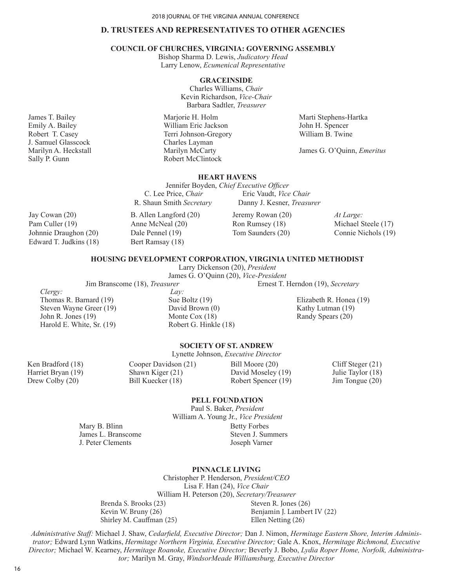#### **D. TRUSTEES AND REPRESENTATIVES TO OTHER AGENCIES**

#### **COUNCIL OF CHURCHES, VIRGINIA: GOVERNING ASSEMBLY**

Bishop Sharma D. Lewis, *Judicatory Head* Larry Lenow, *Ecumenical Representative*

#### **GRACEINSIDE**

Charles Williams, *Chair* Kevin Richardson, *Vice-Chair* Barbara Sadtler, *Treasurer*

Marjorie H. Holm William Eric Jackson Terri Johnson-Gregory Charles Layman Marilyn McCarty Robert McClintock

Marti Stephens-Hartka John H. Spencer William B. Twine

James G. O'Quinn, *Emeritus*

*At Large:*

Michael Steele (17) Connie Nichols (19)

#### **HEART HAVENS**

Jennifer Boyden, *Chief Executive Officer* C. Lee Price, *Chair* Eric Vaudt, *Vice Chair* R. Shaun Smith *Secretary* Danny J. Kesner, *Treasurer*

> Jeremy Rowan (20) Ron Rumsey (18) Tom Saunders (20)

Jay Cowan (20) Pam Culler (19) Johnnie Draughon (20) Edward T. Judkins (18)

#### **HOUSING DEVELOPMENT CORPORATION, VIRGINIA UNITED METHODIST**

Larry Dickenson (20), *President* James G. O'Quinn (20), *Vice-President*

B. Allen Langford (20) Anne McNeal (20) Dale Pennel (19) Bert Ramsay (18)

*Lay:*

*Clergy:* Thomas R. Barnard (19) Steven Wayne Greer (19) John R. Jones (19) Harold E. White, Sr. (19)

Sue Boltz (19) David Brown (0) Monte Cox (18) Robert G. Hinkle (18)

Jim Branscome (18), *Treasurer* Ernest T. Herndon (19), *Secretary*

Elizabeth R. Honea (19) Kathy Lutman (19) Randy Spears (20)

#### **SOCIETY OF ST. ANDREW**

Lynette Johnson, *Executive Director*

| Ken Bradford (18)  | Cooper Davidson (21) | Bill Moore (20)     | Cliff Steger $(21)$ |
|--------------------|----------------------|---------------------|---------------------|
| Harriet Bryan (19) | Shawn Kiger (21)     | David Moseley (19)  | Julie Taylor (18)   |
| Drew Colby $(20)$  | Bill Kuecker (18)    | Robert Spencer (19) | $Jim$ Tongue $(20)$ |

#### **PELL FOUNDATION**

Paul S. Baker, *President* William A. Young Jr., *Vice President* Betty Forbes Steven J. Summers Joseph Varner

Mary B. Blinn James L. Branscome J. Peter Clements

**PINNACLE LIVING**

Christopher P. Henderson, *President/CEO* Lisa F. Han (24), *Vice Chair* William H. Peterson (20), *Secretary/Treasurer*  Brenda S. Brooks (23) Steven R. Jones (26)

Kevin W. Bruny (26) Shirley M. Cauffman (25) Benjamin J. Lambert IV (22) Ellen Netting (26)

*Administrative Staff:* Michael J. Shaw, *Cedarfield, Executive Director;* Dan J. Nimon, *Hermitage Eastern Shore, Interim Administrator;* Edward Lynn Watkins, *Hermitage Northern Virginia, Executive Director;* Gale A. Knox, *Hermitage Richmond, Executive Director;* Michael W. Kearney, *Hermitage Roanoke, Executive Director;* Beverly J. Bobo, *Lydia Roper Home, Norfolk, Administrator;* Marilyn M. Gray, *WindsorMeade Williamsburg, Executive Director*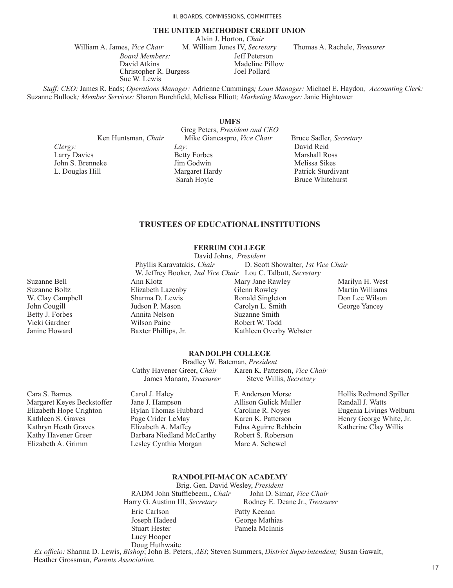#### **THE UNITED METHODIST CREDIT UNION**

Alvin J. Horton, *Chair*

*Board Members:* David Atkins Christopher R. Burgess Sue W. Lewis William A. James, *Vice Chair* M. William Jones IV, *Secretary* Thomas A. Rachele, *Treasurer* 

Jeff Peterson Madeline Pillow Joel Pollard

 *Staff: CEO:* James R. Eads; *Operations Manager:* Adrienne Cummings*; Loan Manager:* Michael E. Haydon*; Accounting Clerk:*  Suzanne Bullock*; Member Services:* Sharon Burchfield, Melissa Elliott*; Marketing Manager:* Janie Hightower

*Clergy:* Larry Davies John S. Brenneke L. Douglas Hill

**UMFS** Greg Peters, *President and CEO* Ken Huntsman, *Chair* Mike Giancaspro, *Vice Chair* Bruce Sadler, *Secretary Lay:*

> Betty Forbes Jim Godwin Margaret Hardy Sarah Hoyle

David Reid Marshall Ross Melissa Sikes Patrick Sturdivant Bruce Whitehurst

#### **TRUSTEES OF EDUCATIONAL INSTITUTIONS**

#### **FERRUM COLLEGE**

David Johns, *President* Phyllis Karavatakis, *Chair* D. Scott Showalter, *1st Vice Chair*  W. Jeffrey Booker, *2nd Vice Chair* Lou C. Talbutt, *Secretary* Ann Klotz Elizabeth Lazenby Sharma D. Lewis Judson P. Mason Annita Nelson Mary Jane Rawley Glenn Rowley Ronald Singleton Carolyn L. Smith Suzanne Smith

Robert W. Todd

Marilyn H. West Martin Williams Don Lee Wilson George Yancey

Suzanne Bell Suzanne Boltz W. Clay Campbell John Cougill Betty J. Forbes Vicki Gardner Janine Howard

**RANDOLPH COLLEGE**

Bradley W. Bateman, *President*<br>Cathy Havener Greer. *Chair* Karen K. Patte James Manaro, *Treasurer* 

Cara S. Barnes Margaret Keyes Beckstoffer Elizabeth Hope Crighton Kathleen S. Graves Kathryn Heath Graves Kathy Havener Greer Elizabeth A. Grimm

Carol J. Haley Jane J. Hampson Hylan Thomas Hubbard Page Crider LeMay Elizabeth A. Maffey Barbara Niedland McCarthy Lesley Cynthia Morgan

Wilson Paine Baxter Phillips, Jr.

Karen K. Patterson, *Vice Chair* **Steve Willis**, *Secretary* 

Kathleen Overby Webster

F. Anderson Morse Allison Gulick Muller Caroline R. Noyes Karen K. Patterson Edna Aguirre Rehbein Robert S. Roberson Marc A. Schewel

Hollis Redmond Spiller Randall J. Watts Eugenia Livings Welburn Henry George White, Jr. Katherine Clay Willis

### **RANDOLPH-MACON ACADEMY**

Brig. Gen. David Wesley, *President* RADM John Stufflebeem., *Chair* Harry G. Austinn III, *Secretary* Rodney E. Deane Jr., *Treasurer* Eric Carlson Joseph Hadeed Stuart Hester Lucy Hooper Doug Huthwaite Patty Keenan George Mathias Pamela McInnis

*Ex officio:* Sharma D. Lewis, *Bishop*; John B. Peters, *AEI*; Steven Summers, *District Superintendent;* Susan Gawalt, Heather Grossman, *Parents Association.*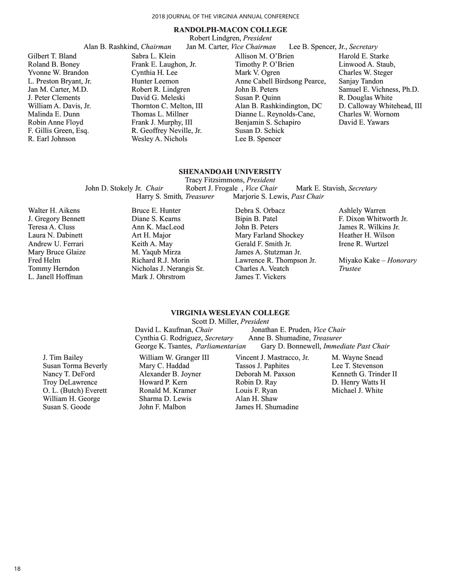#### **RANDOLPH-MACON COLLEGE**

Robert Lindgren, *President* Robert

Alan B. Rashkind, *Chairman* Jan M. Carter, *Vice Chairman* Lee B. Spencer, Jr., *Secretary*

Gilbert T. Bland Roland B. Boney Yvonne W. Brandon L. Preston Bryant, Jr. Jan M. Carter, M.D. J. Peter Clements William A. Davis, Jr. Malinda E. Dunn Robin Anne Floyd F. Gillis Green, Esq. R. Earl Johnson

Sabra L. Klein Frank E. Laughon, Jr. Cynthia H. Lee Hunter Leemon Robert R. Lindgren David G. Meleski Thornton C. Melton, III Thomas L. Millner Frank J. Murphy, III R. Geoffrey Neville, Jr. Wesley A. Nichols

Allison M. O'Brien Timothy P. O'Brien Mark V. Ogren Anne Cabell Birdsong Pearce, John B. Peters Susan P. Quinn Alan B. Rashkindington, DC Dianne L. Reynolds-Cane, Benjamin S. Schapiro Susan D. Schick Lee B. Spencer

Harold E. Starke Linwood A. Staub, Charles W. Steger Sanjay Tandon Samuel E. Vichness, Ph.D. R. Douglas White D. Calloway Whitehead, III Charles W. Wornom David E. Yawars

#### **SHENANDOAH UNIVERSITY**

Tracy Fitzsimmons, *President* John D. Stokely Jr. *Chair* Robert J. Frogale , *Vice Chair* Mark E. Stavish, *Secretary*  Marjorie S. Lewis, Past Chair Mark E. Stavish, *Secret*<br>
is, *Past Chair*<br>
z Ashlely V<br>
F. Dixon

Walter H. Aikens J. Gregory Bennett Teresa A. Cluss Laura N. Dabinett Andrew U. Ferrari Mary Bruce Glaize Fred Helm Tommy Herndon L. Janell Hoffman

Bruce E. Hunter Diane S. Kearns Ann K. MacLeod Art H. Major Keith A. May M. Yaqub Mirza Richard R.J. Morin Nicholas J. Nerangis Sr. Mark J. Ohrstrom

Debra S. Orbacz Bipin B. Patel John B. Peters Mary Farland Shockey Gerald F. Smith Jr. James A. Stutzman Jr. Lawrence R. Thompson Jr. Charles A. Veatch James T. Vickers John D. Stokely Jr. Chair Robert J. Frogale , Vice Chair Mark Harry S. Smith, Treasurer Marjoric S. Lewis, Past Ch<br>
Equality B. Smith, Treasurer Debra S. Othouze B. Hunter B. Hunter B. Hunter B. Reams and Cluss and N. Chai

Ashlely Warren F. Dixon Whitworth Jr. James R. Wilkins Jr. Heather H. Wilson Irene R. Wurtzel

Miyako Kake – *Honorary Trustee*

#### **VIRGINIA WESLEYAN COLLEGE**

Scott D. Miller, *President*

David L. Kaufman, *Chair* Jonathan E. Pruden, *Vice Chair* Cynthia G. Rodriguez, *Secretary*<br>George K. Tsantes, *Parliamentarian* George K. Tsantes, *Parliamentarian* Gary D. Bonnewell, *Immediate Past Chair*

J. Tim Bailey Susan Torma Beverly Nancy T. DeFord Troy DeLawrence O. L. (Butch) Everett William H. George Susan S. Goode

William W. Granger III Mary C. Haddad Alexander B. Joyner Howard P. Kern Ronald M. Kramer Sharma D. Lewis John F. Malbon

Vincent J. Mastracco, Jr. Tassos J. Paphites Deborah M. Paxson Robin D. Ray Louis F. Ryan Alan H. Shaw James H. Shumadine

M. Wayne Snead Lee T. Stevenson Kenneth G. Trinder II D. Henry Watts H Michael J. White